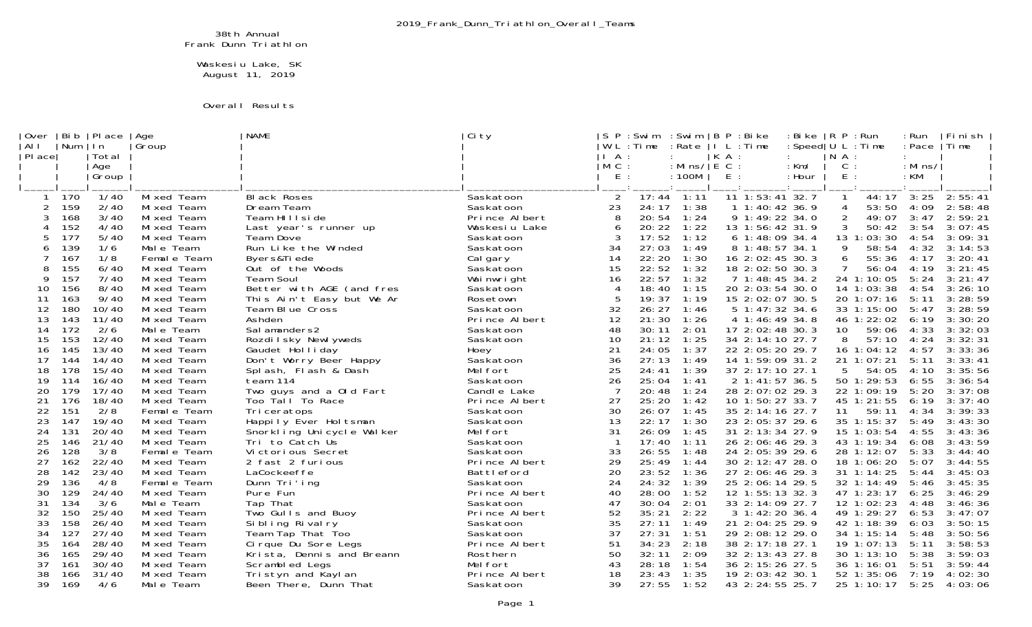## 38th Annual Frank Dunn Triathlon

 Waskesiu Lake, SK August 11, 2019

## Overall Results

| Over<br>  AI I | Bi b<br>Num | PI ace <br>l n | Age<br>Group              | <b>NAME</b>                          | Ci ty                  | P<br>S                      | : Swi m<br>$L :$ Time | : Swi m<br>: Rate          |         | ∣B P : Bi ke<br>I L : Time             | : Bi ke<br>: Speed $ U L : Ti$ me | $ R \text{ } P$                         | :Run                     | : Run<br>: Pace  | Fi ni sh<br>lTime  |
|----------------|-------------|----------------|---------------------------|--------------------------------------|------------------------|-----------------------------|-----------------------|----------------------------|---------|----------------------------------------|-----------------------------------|-----------------------------------------|--------------------------|------------------|--------------------|
| PI ace         |             | Total          |                           |                                      |                        | A                           |                       |                            | $K A$ : |                                        |                                   | $\begin{bmatrix} N & A \end{bmatrix}$ : |                          |                  |                    |
|                |             | Age<br>Group   |                           |                                      |                        | $M$ C :<br>E                |                       | : Mins/ $ E C$ :<br>: 100M | $E$ :   |                                        | : Km/<br>: Hour                   | $C$ :<br>$E$ :                          |                          | : Mi ns/<br>: KM |                    |
|                |             |                |                           |                                      |                        |                             |                       |                            |         |                                        |                                   |                                         |                          |                  |                    |
|                | ์ 170       | 1/40           | Mi xed Team               | Bl ack Roses                         | Saskatoon              | 2                           | 17:44                 | 1:11                       |         | $\overline{11}$ $\overline{1:}$ 53: 41 | 32.7                              |                                         | 44:17                    | 3:25             | 2:55:41            |
| 2              | 159         | 2/40           | Mi xed Team               | Dream Team                           | Saskatoon              | 23                          | 24:17                 | 1:38                       |         | 1 1:40:42 36.9                         |                                   | 4                                       | 53:50                    | 4:09             | 2:58:48            |
| 3              | 168         | 3/40           | Mixed Team                | Team HIIIside                        | Prince Albert          | 8                           | 20:54                 | 1:24                       |         | 9 1:49:22 34.0                         |                                   | $\overline{2}$                          | 49:07                    | 3:47             | 2:59:21            |
|                | 152         | 4/40           | Mixed Team                | Last year's runner up                | Waskesiu Lake          | 6                           | 20:22                 | 1:22                       |         | 13 1:56:42 31.9                        |                                   |                                         | 50:42                    | 3:54             | 3:07:45            |
|                | 177         | $5/40$         | Mi xed Team               | Team Dove                            | Saskatoon              |                             | 17:52<br>27:03        | 1:12                       |         | 6 1:48:09 34.4                         |                                   |                                         | 13 1:03:30<br>58:54      | 4:54             | 3:09:31            |
| 6              | 139<br>167  | 1/6<br>1/8     | Male Team<br>Femal e Team | Run Like the Winded<br>Byers&Tiede   | Saskatoon              | 34<br>14                    | 22:20                 | 1:49<br>1:30               |         | 8 1:48:57 34.1                         |                                   | 9<br>6                                  | 55:36                    | 4:32             | 3:14:53<br>3:20:41 |
| 8              | 155         | 6/40           | Mixed Team                | Out of the Woods                     | Cal gary<br>Saskatoon  | 15                          | 22:52                 | 1:32                       |         | 16 2:02:45 30.3<br>18 2:02:50 30.3     |                                   |                                         | 56:04                    | 4:17<br>4:19     | 3:21:45            |
| 9              | 157         | 7/40           | Mi xed Team               | Team Soul                            | Wai nwright            | 16                          | 22:57                 | 1:32                       |         | 7 1:48:45 34.2                         |                                   |                                         | 24 1:10:05               | 5:24             | 3: 21: 47          |
| 10             | 156         | 8/40           | Mixed Team                | Better with AGE (and fres            | Saskatoon              | $\boldsymbol{\vartriangle}$ | 18:40                 | 1:15                       |         | 20 2:03:54 30.0                        |                                   |                                         | 14 1:03:38               | 4:54             | 3:26:10            |
| 11             | 163         | 9/40           | Mi xed Team               | This Ain't Easy but We Ar            | Rosetown               |                             | 19:37                 | 1:19                       |         | 15 2:02:07 30.5                        |                                   |                                         | 20 1:07:16               | 5:11             | 3:28:59            |
| 12             | 180         | 10/40          | Mi xed Team               | Team Blue Cross                      | Saskatoon              | 32                          | 26:27                 | 1:46                       |         | 5 1:47:32 34.6                         |                                   |                                         | 33 1:15:00               | 5:47             | 3:28:59            |
| 13             | 143         | 11/40          | Mi xed Team               | Ashden                               | Prince Albert          | 12                          | 21:30                 | 1:26                       |         | 4 1:46:49 34.8                         |                                   |                                         | 46 1:22:02               | 6:19             | 3:30:20            |
| 14             | 172         | 2/6            | Male Team                 | Sal amanders2                        | Saskatoon              | 48                          | 30:11                 | 2:01                       |         | 17 2:02:48 30.3                        |                                   | 10                                      | 59:06                    | 4:33             | 3:32:03            |
| 15             | 153         | 12/40          | Mi xed Team               | Rozdilsky Newlyweds                  | Saskatoon              | 10                          | 21:12                 | 1:25                       |         | 34 2:14:10 27.7                        |                                   | 8                                       | 57:10                    | 4:24             | 3:32:31            |
| 16             | 145         | 13/40          | Mi xed Team               | Gaudet Holliday                      | Hoey                   | 21                          | 24:05                 | 1:37                       |         | 22 2:05:20 29.7                        |                                   |                                         | 16 1:04:12               | 4:57             | 3:33:36            |
| 17             | 144         | 14/40          | Mi xed Team               | Don't Worry Beer Happy               | Saskatoon              | 36                          | 27:13                 | 1:49                       |         | 14 1:59:09 31.2                        |                                   |                                         | 21 1:07:21               | 5:11             | 3:33:41            |
| 18             | 178         | 15/40          | Mi xed Team               | Splash, Flash & Dash                 | Mel fort               | 25                          | 24:41                 | 1:39                       |         | 37 2:17:10 27.1                        |                                   | 5                                       | 54:05                    | 4:10             | 3:35:56            |
| 19             | 114         | 16/40          | Mixed Team                | team 114                             | Saskatoon              | 26                          | 25:04                 | 1:41                       |         | 2 1:41:57 36.5                         |                                   |                                         | 50 1:29:53               | 6:55             | 3:36:54            |
| 20             | 179         | 17/40          | Mixed Team                | Two guys and a Old Fart              | Candle Lake            | -7                          | 20:48                 | 1:24                       |         | 28 2:07:02 29.3                        |                                   |                                         | 22 1:09:19               | 5:20             | 3:37:08            |
| 21             | 176         | 18/40          | Mi xed Team               | Too Tall To Race                     | Prince Albert          | 27                          | 25:20                 | 1:42                       |         | 10 1:50:27 33.7                        |                                   |                                         | 45 1:21:55               | 6:19             | 3:37:40            |
| 22             | 151         | 2/8            | Female Team               | Tri ceratops                         | Saskatoon              | 30                          | 26:07                 | 1:45                       |         | 35 2:14:16 27.7                        |                                   | 11                                      | 59:11                    | 4:34             | 3:39:33            |
| 23             | 147         | 19/40<br>20/40 | Mixed Team                | Happily Ever Holtsman                | Saskatoon              | 13                          | 22:17                 | 1:30                       |         | 23 2:05:37 29.6                        |                                   |                                         | 35 1:15:37               | 5:49             | 3:43:30            |
| 24<br>25       | 131<br>146  | 21/40          | Mixed Team                | Snorkling Unicycle Walker            | Mel fort               | 31                          | 26:09<br>17:40        | 1:45<br>1:11               |         | 31 2:13:34 27.9<br>26 2:06:46 29.3     |                                   |                                         | 15 1:03:54<br>43 1:19:34 | 4:55<br>6:08     | 3:43:36<br>3:43:59 |
| 26             | 128         | 3/8            | Mixed Team<br>Female Team | Tri to Catch Us<br>Victorious Secret | Saskatoon<br>Saskatoon | 33                          | 26:55                 | 1:48                       |         | 24 2:05:39 29.6                        |                                   |                                         | 28 1:12:07               | 5:33             | 3:44:40            |
| 27             | 162         | 22/40          | Mixed Team                | 2 fast 2 furious                     | Prince Albert          | 29                          | 25:49                 | 1:44                       |         | 30 2:12:47 28.0                        |                                   |                                         | 18 1:06:20               | 5:07             | 3:44:55            |
| 28             | 142         | 23/40          | Mixed Team                | LaCockeeffe                          | Battleford             | 20                          | 23:52                 | 1:36                       |         | 27 2:06:46 29.3                        |                                   |                                         | 31 1:14:25               | 5:44             | 3:45:03            |
| 29             | 136         | 4/8            | Female Team               | Dunn Tri'ing                         | Saskatoon              | 24                          | 24:32                 | 1:39                       |         | 25 2:06:14 29.5                        |                                   |                                         | 32 1:14:49               | 5:46             | 3:45:35            |
| 30             | 129         | 24/40          | Mi xed Team               | Pure Fun                             | Prince Albert          | 40                          | 28:00                 | 1:52                       |         | 12 1:55:13 32.3                        |                                   |                                         | 47 1:23:17               | 6:25             | 3:46:29            |
| 31             | 134         | 3/6            | Male Team                 | Tap That                             | Saskatoon              | 47                          | 30:04                 | 2:01                       |         | 33 2:14:09 27.7                        |                                   |                                         | 12 1:02:23               | 4:48             | 3:46:36            |
| 32             | 150         | 25/40          | Mi xed Team               | Two Gulls and Buoy                   | Prince Albert          | 52                          | 35:21                 | 2:22                       |         | 3 1:42:20 36.4                         |                                   |                                         | 49 1:29:27               | 6:53             | 3:47:07            |
| 33             | 158         | 26/40          | Mixed Team                | Si bling Rivalry                     | Saskatoon              | 35                          | 27:11                 | 1:49                       |         | 21 2:04:25 29.9                        |                                   |                                         | 42 1:18:39               | 6: 03            | 3:50:15            |
| 34             | 127         | 27/40          | Mi xed Team               | Team Tap That Too                    | Saskatoon              | 37                          | 27:31                 | 1:51                       |         | 29 2:08:12 29.0                        |                                   |                                         | 34 1:15:14               | 5:48             | 3:50:56            |
| 35             | 164         | 28/40          | Mi xed Team               | Ci rque Du Sore Legs                 | Prince Albert          | 51                          | 34:23                 | 2:18                       |         | 38 2:17:18 27.1                        |                                   |                                         | 19 1:07:13               | 5:11             | 3:58:53            |
| 36             | 165         | 29/40          | Mi xed Team               | Krista, Dennis and Breann            | Rosthern               | 50                          | 32:11                 | 2:09                       |         | 32 2:13:43 27.8                        |                                   |                                         | 30 1:13:10               | 5:38             | 3:59:03            |
| 37             | 161         | 30/40          | Mi xed Team               | Scrambled Legs                       | Mel fort               | 43                          | 28:18                 | 1:54                       |         | 36 2:15:26 27.5                        |                                   |                                         | 36 1:16:01               | 5:51             | 3:59:44            |
| 38             | 166         | 31/40          | Mixed Team                | Tristyn and Kaylan                   | Prince Albert          | 18                          | 23:43                 | 1:35                       |         | 19 2:03:42                             | 30.1                              |                                         | 52 1:35:06               | 7:19             | 4:02:30            |
| 39             | 169         | 4/6            | Male Team                 | Been There, Dunn That                | Saskatoon              | 39                          | 27:55                 | 1:52                       |         | 43 2:24:55 25.7                        |                                   |                                         | 25 1:10:17               | 5:25             | 4:03:06            |